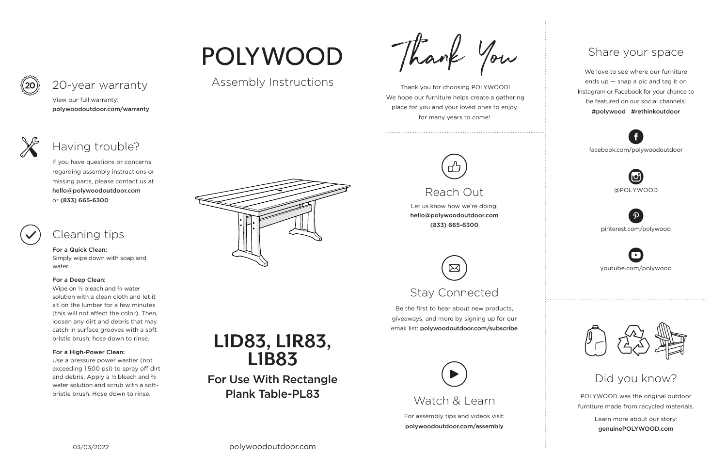For assembly tips and videos visit: polywoodoutdoor.com/assembly



 Thank you for choosing POLYWOOD! We hope our furniture helps create a gathering place for you and your loved ones to enjoy for many years to come!

Let us know how we're doing: hello@polywoodoutdoor.com (833) 665-6300

Be the first to hear about new products, giveaways, and more by signing up for our email list: polywoodoutdoor.com/subscribe



POLYWOOD was the original outdoor furniture made from recycled materials.

> Learn more about our story: genuinePOLYWOOD.com

We love to see where our furniture ends up — snap a pic and tag it on Instagram or Facebook for your chance to be featured on our social channels! #polywood #rethinkoutdoor



youtube.com/polywood



pinterest.com/polywood



facebook.com/polywoodoutdoor





# POLYWOOD

#### Assembly Instructions

Thank You

## Watch & Learn

## Reach Out

# Stay Connected

#### Share your space

#### Did you know?

View our full warranty: polywoodoutdoor.com/warranty



#### For a Quick Clean:

Simply wipe down with soap and water.

#### For a Deep Clean:

Wipe on ⅓ bleach and ⅔ water solution with a clean cloth and let it sit on the lumber for a few minutes (this will not affect the color). Then, loosen any dirt and debris that may catch in surface grooves with a soft bristle brush; hose down to rinse.

#### For a High-Power Clean:

Use a pressure power washer (not exceeding 1,500 psi) to spray off dirt and debris. Apply a ⅓ bleach and ⅔ water solution and scrub with a softbristle brush. Hose down to rinse.



If you have questions or concerns regarding assembly instructions or missing parts, please contact us at hello@polywoodoutdoor.com or (833) 665-6300



## 20-year warranty

## Having trouble?

#### Cleaning tips



For Use With Rectangle Plank Table-PL83